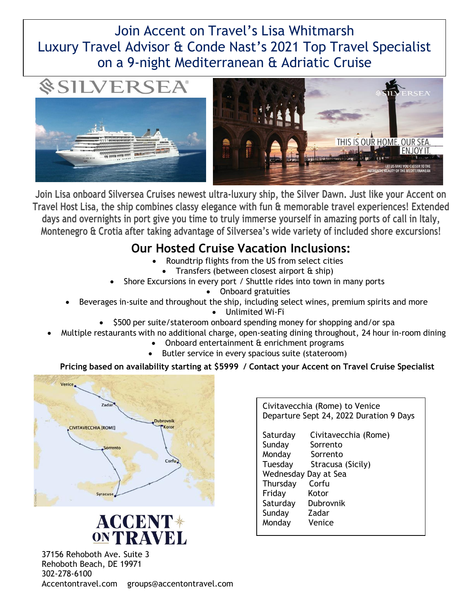## Join Accent on Travel's Lisa Whitmarsh Luxury Travel Advisor & Conde Nast's 2021 Top Travel Specialist on a 9-night Mediterranean & Adriatic Cruise





**Join Lisa onboard Silversea Cruises newest ultra-luxury ship, the Silver Dawn. Just like your Accent on Travel Host Lisa, the ship combines classy elegance with fun & memorable travel experiences! Extended days and overnights in port give you time to truly immerse yourself in amazing ports of call in Italy, Montenegro & Crotia after taking advantage of Silversea's wide variety of included shore excursions!**

## **Our Hosted Cruise Vacation Inclusions:**

- Roundtrip flights from the US from select cities
	- Transfers (between closest airport & ship)
- Shore Excursions in every port / Shuttle rides into town in many ports
	- Onboard gratuities
- Beverages in-suite and throughout the ship, including select wines, premium spirits and more
	- Unlimited Wi-Fi
	- \$500 per suite/stateroom onboard spending money for shopping and/or spa
- Multiple restaurants with no additional charge, open-seating dining throughout, 24 hour in-room dining
	- Onboard entertainment & enrichment programs
	- Butler service in every spacious suite (stateroom)

#### **Pricing based on availability starting at \$5999 / Contact your Accent on Travel Cruise Specialist**



# **ACCENT\* ONTRAVEL**

37156 Rehoboth Ave. Suite 3 Rehoboth Beach, DE 19971 302-278-6100 Accentontravel.com groups@accentontravel.com

Civitavecchia (Rome) to Venice Departure Sept 24, 2022 Duration 9 Days Saturday Civitavecchia (Rome) Sunday Sorrento Monday Sorrento Tuesday Stracusa (Sicily) Wednesday Day at Sea Thursday Corfu Friday Kotor Saturday Dubrovnik Sunday Zadar Monday Venice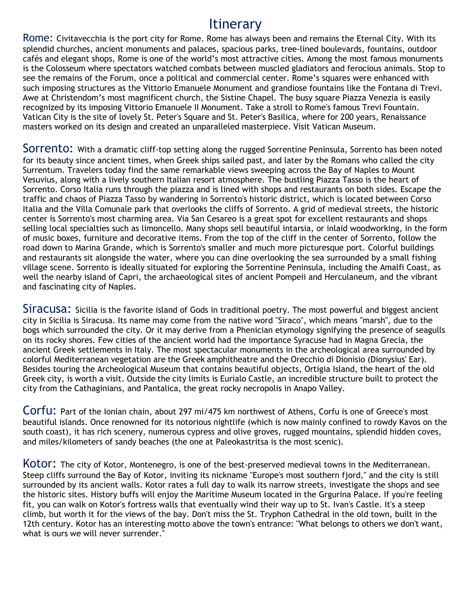## Itinerary

Rome: Civitavecchia is the port city for Rome. Rome has always been and remains the Eternal City. With its splendid churches, ancient monuments and palaces, spacious parks, tree-lined boulevards, fountains, outdoor cafés and elegant shops, Rome is one of the world's most attractive cities. Among the most famous monuments is the Colosseum where spectators watched combats between muscled gladiators and ferocious animals. Stop to see the remains of the Forum, once a political and commercial center. Rome's squares were enhanced with such imposing structures as the Vittorio Emanuele Monument and grandiose fountains like the Fontana di Trevi. Awe at Christendom's most magnificent church, the Sistine Chapel. The busy square Piazza Venezia is easily recognized by its imposing Vittorio Emanuele II Monument. Take a stroll to Rome's famous Trevi Fountain. Vatican City is the site of lovely St. Peter's Square and St. Peter's Basilica, where for 200 years, Renaissance masters worked on its design and created an unparalleled masterpiece. Visit Vatican Museum.

Sorrento: With a dramatic cliff-top setting along the rugged Sorrentine Peninsula, Sorrento has been noted for its beauty since ancient times, when Greek ships sailed past, and later by the Romans who called the city Surrentum. Travelers today find the same remarkable views sweeping across the Bay of Naples to Mount Vesuvius, along with a lively southern Italian resort atmosphere. The bustling Piazza Tasso is the heart of Sorrento. Corso Italia runs through the piazza and is lined with shops and restaurants on both sides. Escape the traffic and chaos of Piazza Tasso by wandering in Sorrento's historic district, which is located between Corso Italia and the Villa Comunale park that overlooks the cliffs of Sorrento. A grid of medieval streets, the historic center is Sorrento's most charming area. Via San Cesareo is a great spot for excellent restaurants and shops selling local specialties such as limoncello. Many shops sell beautiful intarsia, or inlaid woodworking, in the form of music boxes, furniture and decorative items. From the top of the cliff in the center of Sorrento, follow the road down to Marina Grande, which is Sorrento's smaller and much more picturesque port. Colorful buildings and restaurants sit alongside the water, where you can dine overlooking the sea surrounded by a small fishing village scene. Sorrento is ideally situated for exploring the Sorrentine Peninsula, including the Amalfi Coast, as well the nearby island of Capri, the archaeological sites of ancient Pompeii and Herculaneum, and the vibrant and fascinating city of Naples.

Siracusa: Sicilia is the favorite island of Gods in traditional poetry. The most powerful and biggest ancient city in Sicilia is Siracusa. Its name may come from the native word "Siraco", which means "marsh", due to the bogs which surrounded the city. Or it may derive from a Phenician etymology signifying the presence of seagulls on its rocky shores. Few cities of the ancient world had the importance Syracuse had in Magna Grecia, the ancient Greek settlements in Italy. The most spectacular monuments in the archeological area surrounded by colorful Mediterranean vegetation are the Greek amphitheatre and the Orecchio di Dionisio (Dionysius' Ear). Besides touring the Archeological Museum that contains beautiful objects, Ortigia Island, the heart of the old Greek city, is worth a visit. Outside the city limits is Eurialo Castle, an incredible structure built to protect the city from the Cathaginians, and Pantalica, the great rocky necropolis in Anapo Valley.

Corfu: Part of the Ionian chain, about 297 mi/475 km northwest of Athens, Corfu is one of Greece's most beautiful islands. Once renowned for its notorious nightlife (which is now mainly confined to rowdy Kavos on the south coast), it has rich scenery, numerous cypress and olive groves, rugged mountains, splendid hidden coves, and miles/kilometers of sandy beaches (the one at Paleokastritsa is the most scenic).

KOTOI: The city of Kotor, Montenegro, is one of the best-preserved medieval towns in the Mediterranean. Steep cliffs surround the Bay of Kotor, inviting its nickname "Europe's most southern fjord," and the city is still surrounded by its ancient walls. Kotor rates a full day to walk its narrow streets, investigate the shops and see the historic sites. History buffs will enjoy the Maritime Museum located in the Grgurina Palace. If you're feeling fit, you can walk on Kotor's fortress walls that eventually wind their way up to St. Ivan's Castle. It's a steep climb, but worth it for the views of the bay. Don't miss the St. Tryphon Cathedral in the old town, built in the 12th century. Kotor has an interesting motto above the town's entrance: "What belongs to others we don't want, what is ours we will never surrender."